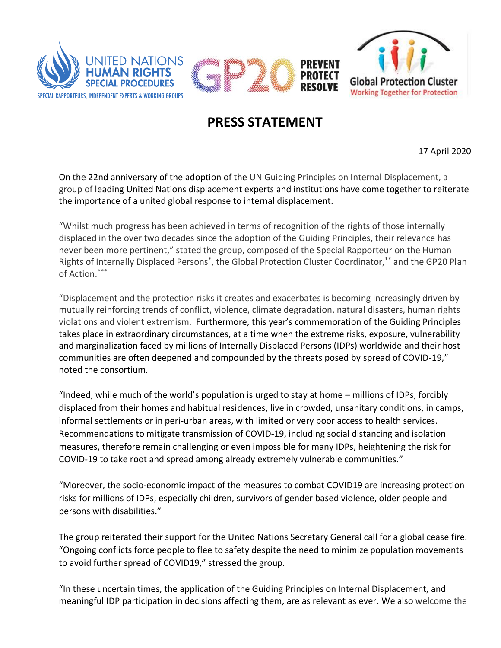

## **PRESS STATEMENT**

17 April 2020

On the 22nd anniversary of the adoption of the UN Guiding Principles on Internal Displacement, a group of leading United Nations displacement experts and institutions have come together to reiterate the importance of a united global response to internal displacement.

"Whilst much progress has been achieved in terms of recognition of the rights of those internally displaced in the over two decades since the adoption of the Guiding Principles, their relevance has never been more pertinent," stated the group, composed of the Special Rapporteur on the Human Rights of Internally Displaced Persons<sup>\*</sup>, the Global Protection Cluster Coordinator,<sup>\*\*</sup> and the GP20 Plan of Action. \*\*\*

"Displacement and the protection risks it creates and exacerbates is becoming increasingly driven by mutually reinforcing trends of conflict, violence, climate degradation, natural disasters, human rights violations and violent extremism. Furthermore, this year's commemoration of the Guiding Principles takes place in extraordinary circumstances, at a time when the extreme risks, exposure, vulnerability and marginalization faced by millions of Internally Displaced Persons (IDPs) worldwide and their host communities are often deepened and compounded by the threats posed by spread of COVID-19," noted the consortium.

"Indeed, while much of the world's population is urged to stay at home – millions of IDPs, forcibly displaced from their homes and habitual residences, live in crowded, unsanitary conditions, in camps, informal settlements or in peri-urban areas, with limited or very poor access to health services. Recommendations to mitigate transmission of COVID-19, including social distancing and isolation measures, therefore remain challenging or even impossible for many IDPs, heightening the risk for COVID-19 to take root and spread among already extremely vulnerable communities."

"Moreover, the socio-economic impact of the measures to combat COVID19 are increasing protection risks for millions of IDPs, especially children, survivors of gender based violence, older people and persons with disabilities."

The group reiterated their support for the United Nations Secretary General call for a global cease fire. "Ongoing conflicts force people to flee to safety despite the need to minimize population movements to avoid further spread of COVID19," stressed the group.

"In these uncertain times, the application of the Guiding Principles on Internal Displacement, and meaningful IDP participation in decisions affecting them, are as relevant as ever. We also welcome the